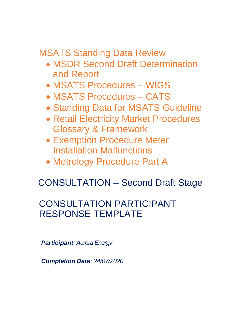MSATS Standing Data Review

- MSDR Second Draft Determination and Report
- MSATS Procedures WIGS
- MSATS Procedures CATS
- Standing Data for MSATS Guideline
- Retail Electricity Market Procedures Glossary & Framework
- Exemption Procedure Meter Installation Malfunctions
- Metrology Procedure Part A

# CONSULTATION – Second Draft Stage

# CONSULTATION PARTICIPANT RESPONSE TEMPLATE

*Participant: Aurora Energy*

*Completion Date: 24/07/2020*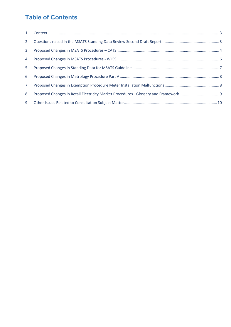# **Table of Contents**

| 8. |  |
|----|--|
|    |  |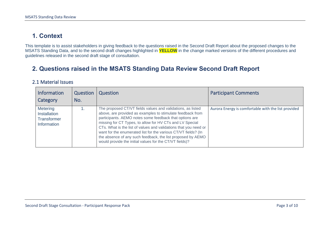### **1. Context**

This template is to assist stakeholders in giving feedback to the questions raised in the Second Draft Report about the proposed changes to the MSATS Standing Data, and to the second draft changes highlighted in **YELLOW** in the change marked versions of the different procedures and guidelines released in the second draft stage of consultation.

### **2. Questions raised in the MSATS Standing Data Review Second Draft Report**

#### 2.1 Material Issues

<span id="page-2-1"></span><span id="page-2-0"></span>

| <b>Information</b><br>Category                                       | Question<br>No. | Question                                                                                                                                                                                                                                                                                                                                                                                                                                                                                                         | <b>Participant Comments</b>                         |
|----------------------------------------------------------------------|-----------------|------------------------------------------------------------------------------------------------------------------------------------------------------------------------------------------------------------------------------------------------------------------------------------------------------------------------------------------------------------------------------------------------------------------------------------------------------------------------------------------------------------------|-----------------------------------------------------|
| <b>Metering</b><br>Installation<br><b>Transformer</b><br>Information |                 | The proposed CT/VT fields values and validations, as listed<br>above, are provided as examples to stimulate feedback from<br>participants. AEMO notes some feedback that options are<br>missing for CT Types, to allow for HV CTs and LV Special<br>CTs. What is the list of values and validations that you need or<br>want for the enumerated list for the various CT/VT fields? (In<br>the absence of any such feedback, the list proposed by AEMO<br>would provide the initial values for the CT/VT fields)? | Aurora Energy is comfortable with the list provided |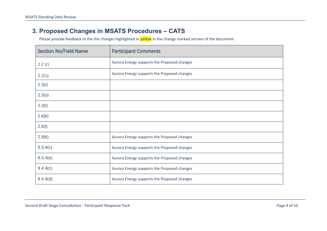#### **3. Proposed Changes in MSATS Procedures – CATS**

<span id="page-3-0"></span>

| <b>Section No/Field Name</b> | <b>Participant Comments</b>                 |
|------------------------------|---------------------------------------------|
| 2.2(r)                       | Aurora Energy supports the Proposed changes |
| 2.2(s)                       | Aurora Energy supports the Proposed changes |
| 2.3(r)                       |                                             |
| 2.3(s)                       |                                             |
| 2.3(t)                       |                                             |
| 2.6(k)                       |                                             |
| 2.6(l)                       |                                             |
| 2.9(k)                       | Aurora Energy supports the Proposed changes |
| 9.3.4(c)                     | Aurora Energy supports the Proposed changes |
| 9.3.4(e)                     | Aurora Energy supports the Proposed changes |
| 9.4.4(c)                     | Aurora Energy supports the Proposed changes |
| 9.4.4(d)                     | Aurora Energy supports the Proposed changes |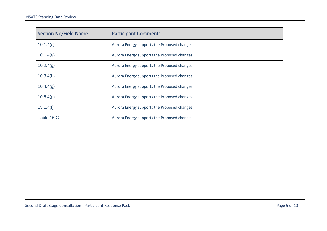| <b>Section No/Field Name</b> | <b>Participant Comments</b>                 |
|------------------------------|---------------------------------------------|
| 10.1.4(c)                    | Aurora Energy supports the Proposed changes |
| 10.1.4(e)                    | Aurora Energy supports the Proposed changes |
| 10.2.4(g)                    | Aurora Energy supports the Proposed changes |
| 10.3.4(h)                    | Aurora Energy supports the Proposed changes |
| 10.4.4(g)                    | Aurora Energy supports the Proposed changes |
| 10.5.4(g)                    | Aurora Energy supports the Proposed changes |
| 15.1.4(f)                    | Aurora Energy supports the Proposed changes |
| Table 16-C                   | Aurora Energy supports the Proposed changes |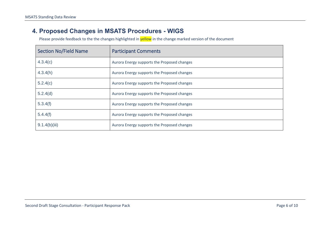#### **4. Proposed Changes in MSATS Procedures - WIGS**

<span id="page-5-0"></span>

| <b>Section No/Field Name</b> | <b>Participant Comments</b>                 |
|------------------------------|---------------------------------------------|
| 4.3.4(c)                     | Aurora Energy supports the Proposed changes |
| 4.3.4(h)                     | Aurora Energy supports the Proposed changes |
| 5.2.4(c)                     | Aurora Energy supports the Proposed changes |
| 5.2.4(d)                     | Aurora Energy supports the Proposed changes |
| 5.3.4(f)                     | Aurora Energy supports the Proposed changes |
| 5.4.4(f)                     | Aurora Energy supports the Proposed changes |
| 9.1.4(b)(iii)                | Aurora Energy supports the Proposed changes |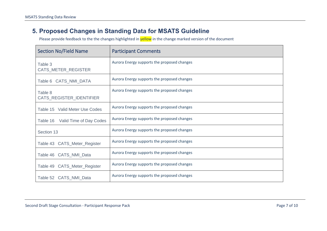#### **5. Proposed Changes in Standing Data for MSATS Guideline**

<span id="page-6-0"></span>

| <b>Section No/Field Name</b>        | <b>Participant Comments</b>                 |
|-------------------------------------|---------------------------------------------|
| Table 3<br>CATS_METER_REGISTER      | Aurora Energy supports the proposed changes |
| Table 6 CATS_NMI_DATA               | Aurora Energy supports the proposed changes |
| Table 8<br>CATS_REGISTER_IDENTIFIER | Aurora Energy supports the proposed changes |
| Table 15 Valid Meter Use Codes      | Aurora Energy supports the proposed changes |
| Table 16 Valid Time of Day Codes    | Aurora Energy supports the proposed changes |
| Section 13                          | Aurora Energy supports the proposed changes |
| Table 43 CATS_Meter_Register        | Aurora Energy supports the proposed changes |
| Table 46 CATS_NMI_Data              | Aurora Energy supports the proposed changes |
| Table 49 CATS_Meter_Register        | Aurora Energy supports the proposed changes |
| Table 52 CATS_NMI_Data              | Aurora Energy supports the proposed changes |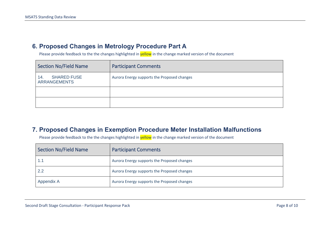#### **6. Proposed Changes in Metrology Procedure Part A**

Please provide feedback to the the changes highlighted in **yellow** in the change marked version of the document

| <b>Section No/Field Name</b>                     | <b>Participant Comments</b>                 |
|--------------------------------------------------|---------------------------------------------|
| <b>SHARED FUSE</b><br>14.<br><b>ARRANGEMENTS</b> | Aurora Energy supports the Proposed changes |
|                                                  |                                             |
|                                                  |                                             |

#### <span id="page-7-0"></span>**7. Proposed Changes in Exemption Procedure Meter Installation Malfunctions**

<span id="page-7-1"></span>

| <b>Section No/Field Name</b> | <b>Participant Comments</b>                 |
|------------------------------|---------------------------------------------|
|                              | Aurora Energy supports the Proposed changes |
| 2.2                          | Aurora Energy supports the Proposed changes |
| Appendix A                   | Aurora Energy supports the Proposed changes |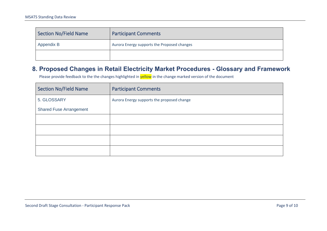| Section No/Field Name | <b>Participant Comments</b>                 |
|-----------------------|---------------------------------------------|
| Appendix B            | Aurora Energy supports the Proposed changes |
|                       |                                             |

#### **8. Proposed Changes in Retail Electricity Market Procedures - Glossary and Framework**

<span id="page-8-0"></span>

| <b>Section No/Field Name</b>   | <b>Participant Comments</b>                |
|--------------------------------|--------------------------------------------|
| 5. GLOSSARY                    | Aurora Energy supports the proposed change |
| <b>Shared Fuse Arrangement</b> |                                            |
|                                |                                            |
|                                |                                            |
|                                |                                            |
|                                |                                            |